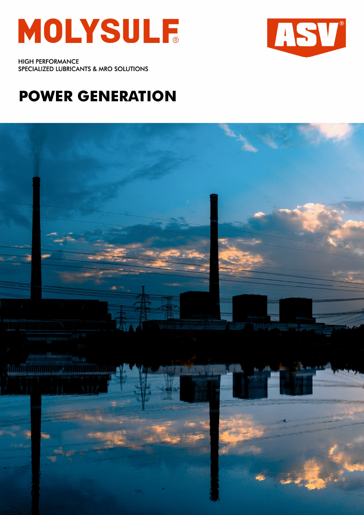



**HIGH PERFORMANCE** SPECIALIZED LUBRICANTS & MRO SOLUTIONS

# **POWER GENERATION**

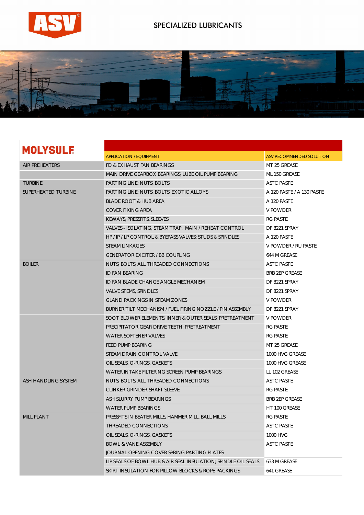

### SPECIALIZED LUBRICANTS



## **MOLYSULF**

|                       | <b>APPLICATION / EQUIPMENT</b>                                 | ASV RECOMMENDED SOLUTION  |
|-----------------------|----------------------------------------------------------------|---------------------------|
| <b>AIR PREHEATERS</b> | FD & EXHAUST FAN BEARINGS                                      | MT 25 GREASE              |
|                       | MAIN DRIVE GEARBOX BEARINGS, LUBE OIL PUMP BEARING             | ML 150 GREASE             |
| <b>TURBINE</b>        | PARTING LINE; NUTS, BOLTS                                      | <b>ASTC PASTE</b>         |
| SUPERHEATED TURBINE   | PARTING LINE; NUTS, BOLTS, EXOTIC ALLOYS                       | A 120 PASTE / A 130 PASTE |
|                       | <b>BLADE ROOT &amp; HUB AREA</b>                               | A 120 PASTE               |
|                       | <b>COVER FIXING AREA</b>                                       | <b>V POWDER</b>           |
|                       | KEWAYS, PRESSFITS, SLEEVES                                     | <b>RG PASTE</b>           |
|                       | VALVES - ISOLATING, STEAM TRAP, MAIN / REHEAT CONTROL          | DF 8221 SPRAY             |
|                       | HP / IP / LP CONTROL & BYEPASS VALVES; STUDS & SPINDLES        | A 120 PASTE               |
|                       | <b>STEAM LINKAGES</b>                                          | V POWDER / RU PASTE       |
|                       | <b>GENERATOR EXCITER / BB COUPLING</b>                         | 644 M GREASE              |
| <b>BOILER</b>         | NUTS, BOLTS, ALL THREADED CONNECTIONS                          | <b>ASTC PASTE</b>         |
|                       | <b>ID FAN BEARING</b>                                          | <b>BRB 2EP GREASE</b>     |
|                       | ID FAN BLADE CHANGE ANGLE MECHANISM                            | DF 8221 SPRAY             |
|                       | <b>VALVE STEMS, SPINDLES</b>                                   | DF 8221 SPRAY             |
|                       | <b>GLAND PACKINGS IN STEAM ZONES</b>                           | V POWDER                  |
|                       | BURNER TILT MECHANISM / FUEL FIRING NOZZLE / PIN ASSEMBLY      | DF 8221 SPRAY             |
|                       | SOOT BLOWER ELEMENTS, INNER & OUTER SEALS; PRETREATMENT        | V POWDER                  |
|                       | PRECIPITATOR GEAR DRIVE TEETH; PRETREATMENT                    | <b>RG PASTE</b>           |
|                       | WATER SOFTENER VALVES                                          | <b>RG PASTE</b>           |
|                       | <b>FEED PUMP BEARING</b>                                       | MT 25 GREASE              |
|                       | STEAM DRAIN CONTROL VALVE                                      | 1000 HVG GREASE           |
|                       | OIL SEALS, O-RINGS, GASKETS                                    | 1000 HVG GREASE           |
|                       | WATER INTAKE FILTERING SCREEN PUMP BEARINGS                    | LL 102 GREASE             |
| ASH HANDLING SYSTEM   | NUTS, BOLTS, ALL THREADED CONNECTIONS                          | <b>ASTC PASTE</b>         |
|                       | CLINKER GRINDER SHAFT SLEEVE                                   | <b>RG PASTE</b>           |
|                       | ASH SLURRY PUMP BEARINGS                                       | <b>BRB 2EP GREASE</b>     |
|                       | WATER PUMP BEARINGS                                            | HT 100 GREASE             |
| <b>MILL PLANT</b>     | PRESSFITS IN BEATER MILLS, HAMMER MILL, BALL MILLS             | <b>RG PASTE</b>           |
|                       | THREADED CONNECTIONS                                           | <b>ASTC PASTE</b>         |
|                       | OIL SEALS, O-RINGS, GASKETS                                    | 1000 HVG                  |
|                       | <b>BOWL &amp; VANE ASSEMBLY</b>                                | <b>ASTC PASTE</b>         |
|                       | JOURNAL OPENING COVER SPRING PARTING PLATES                    |                           |
|                       | LIP SEALS OF BOWL HUB & AIR SEAL INSULATION; SPINDLE OIL SEALS | 633 M GREASE              |
|                       | SKIRT INSULATION FOR PILLOW BLOCKS & ROPE PACKINGS             | 641 GREASE                |